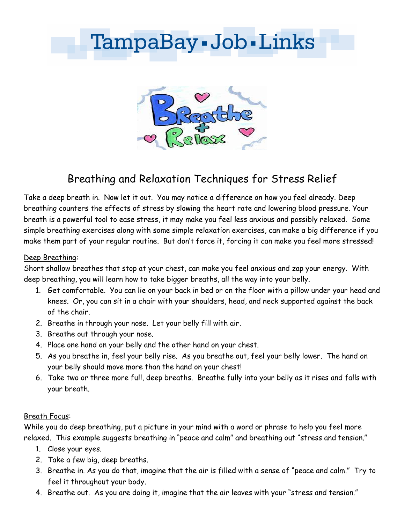# TampaBay - Job - Links



## Breathing and Relaxation Techniques for Stress Relief

Take a deep breath in. Now let it out. You may notice a difference on how you feel already. Deep breathing counters the effects of stress by slowing the heart rate and lowering blood pressure. Your breath is a powerful tool to ease stress, it may make you feel less anxious and possibly relaxed. Some simple breathing exercises along with some simple relaxation exercises, can make a big difference if you make them part of your regular routine. But don't force it, forcing it can make you feel more stressed!

#### Deep Breathing:

Short shallow breathes that stop at your chest, can make you feel anxious and zap your energy. With deep breathing, you will learn how to take bigger breaths, all the way into your belly.

- 1. Get comfortable. You can lie on your back in bed or on the floor with a pillow under your head and knees. Or, you can sit in a chair with your shoulders, head, and neck supported against the back of the chair.
- 2. Breathe in through your nose. Let your belly fill with air.
- 3. Breathe out through your nose.
- 4. Place one hand on your belly and the other hand on your chest.
- 5. As you breathe in, feel your belly rise. As you breathe out, feel your belly lower. The hand on your belly should move more than the hand on your chest!
- 6. Take two or three more full, deep breaths. Breathe fully into your belly as it rises and falls with your breath.

#### Breath Focus:

While you do deep breathing, put a picture in your mind with a word or phrase to help you feel more relaxed. This example suggests breathing in "peace and calm" and breathing out "stress and tension."

- 1. Close your eyes.
- 2. Take a few big, deep breaths.
- 3. Breathe in. As you do that, imagine that the air is filled with a sense of "peace and calm." Try to feel it throughout your body.
- 4. Breathe out. As you are doing it, imagine that the air leaves with your "stress and tension."